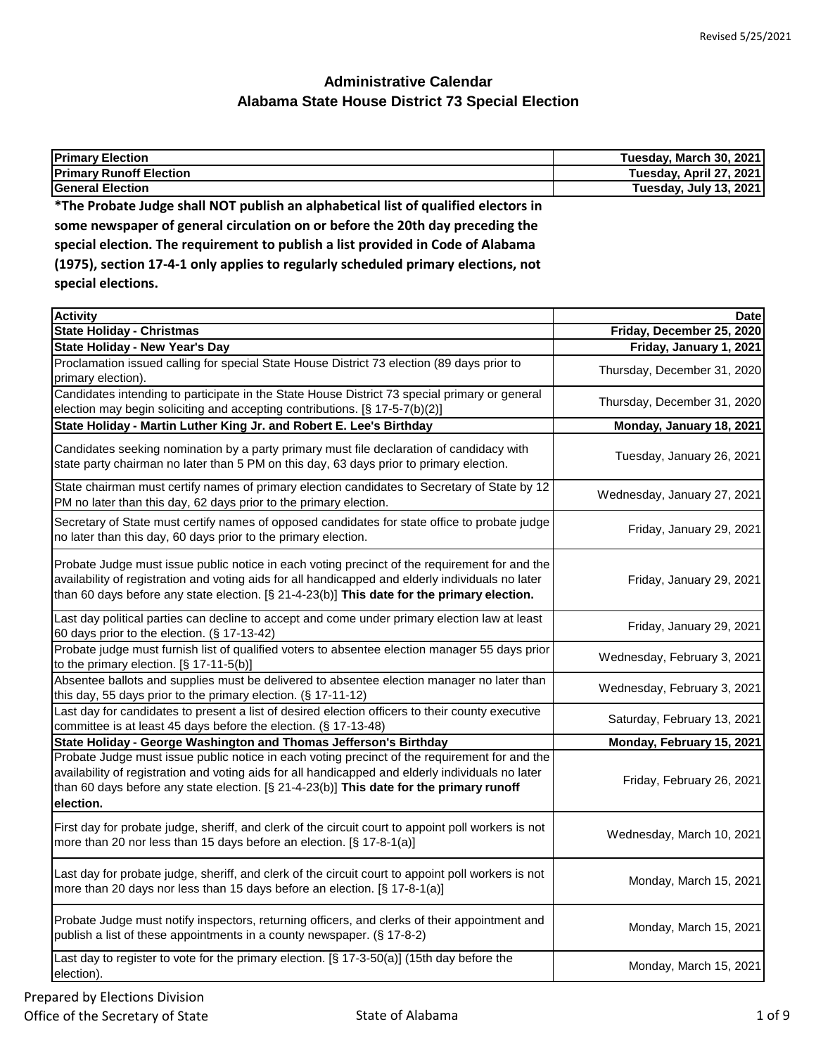| <b>Primary Election</b>                                                            | Tuesday, March 30, 2021 |
|------------------------------------------------------------------------------------|-------------------------|
| <b>Primary Runoff Election</b>                                                     | Tuesday, April 27, 2021 |
| <b>General Election</b>                                                            | Tuesday, July 13, 2021  |
| *The Probate Judge shall NOT publish an alphabetical list of qualified electors in |                         |
| come newspaper of general circulation on or hefore the 20th day preceding the      |                         |

**some newspaper of general circulation on or before the 20th day preceding the special election. The requirement to publish a list provided in Code of Alabama (1975), section 17-4-1 only applies to regularly scheduled primary elections, not special elections.**

| <b>Activity</b>                                                                                                                                                                                                                                                                                            | <b>Date</b>                 |
|------------------------------------------------------------------------------------------------------------------------------------------------------------------------------------------------------------------------------------------------------------------------------------------------------------|-----------------------------|
| <b>State Holiday - Christmas</b>                                                                                                                                                                                                                                                                           | Friday, December 25, 2020   |
| <b>State Holiday - New Year's Day</b>                                                                                                                                                                                                                                                                      | Friday, January 1, 2021     |
| Proclamation issued calling for special State House District 73 election (89 days prior to<br>primary election).                                                                                                                                                                                           | Thursday, December 31, 2020 |
| Candidates intending to participate in the State House District 73 special primary or general<br>election may begin soliciting and accepting contributions. [§ 17-5-7(b)(2)]                                                                                                                               | Thursday, December 31, 2020 |
| State Holiday - Martin Luther King Jr. and Robert E. Lee's Birthday                                                                                                                                                                                                                                        | Monday, January 18, 2021    |
| Candidates seeking nomination by a party primary must file declaration of candidacy with<br>state party chairman no later than 5 PM on this day, 63 days prior to primary election.                                                                                                                        | Tuesday, January 26, 2021   |
| State chairman must certify names of primary election candidates to Secretary of State by 12<br>PM no later than this day, 62 days prior to the primary election.                                                                                                                                          | Wednesday, January 27, 2021 |
| Secretary of State must certify names of opposed candidates for state office to probate judge<br>no later than this day, 60 days prior to the primary election.                                                                                                                                            | Friday, January 29, 2021    |
| Probate Judge must issue public notice in each voting precinct of the requirement for and the<br>availability of registration and voting aids for all handicapped and elderly individuals no later<br>than 60 days before any state election. [§ 21-4-23(b)] This date for the primary election.           | Friday, January 29, 2021    |
| Last day political parties can decline to accept and come under primary election law at least<br>60 days prior to the election. (§ 17-13-42)                                                                                                                                                               | Friday, January 29, 2021    |
| Probate judge must furnish list of qualified voters to absentee election manager 55 days prior<br>to the primary election. [§ 17-11-5(b)]                                                                                                                                                                  | Wednesday, February 3, 2021 |
| Absentee ballots and supplies must be delivered to absentee election manager no later than<br>this day, 55 days prior to the primary election. (§ 17-11-12)                                                                                                                                                | Wednesday, February 3, 2021 |
| Last day for candidates to present a list of desired election officers to their county executive<br>committee is at least 45 days before the election. (§ 17-13-48)                                                                                                                                        | Saturday, February 13, 2021 |
| State Holiday - George Washington and Thomas Jefferson's Birthday                                                                                                                                                                                                                                          | Monday, February 15, 2021   |
| Probate Judge must issue public notice in each voting precinct of the requirement for and the<br>availability of registration and voting aids for all handicapped and elderly individuals no later<br>than 60 days before any state election. [§ 21-4-23(b)] This date for the primary runoff<br>election. | Friday, February 26, 2021   |
| First day for probate judge, sheriff, and clerk of the circuit court to appoint poll workers is not<br>more than 20 nor less than 15 days before an election. [§ 17-8-1(a)]                                                                                                                                | Wednesday, March 10, 2021   |
| Last day for probate judge, sheriff, and clerk of the circuit court to appoint poll workers is not<br>more than 20 days nor less than 15 days before an election. [§ 17-8-1(a)]                                                                                                                            | Monday, March 15, 2021      |
| Probate Judge must notify inspectors, returning officers, and clerks of their appointment and<br>publish a list of these appointments in a county newspaper. (§ 17-8-2)                                                                                                                                    | Monday, March 15, 2021      |
| Last day to register to vote for the primary election. [§ 17-3-50(a)] (15th day before the<br>election).                                                                                                                                                                                                   | Monday, March 15, 2021      |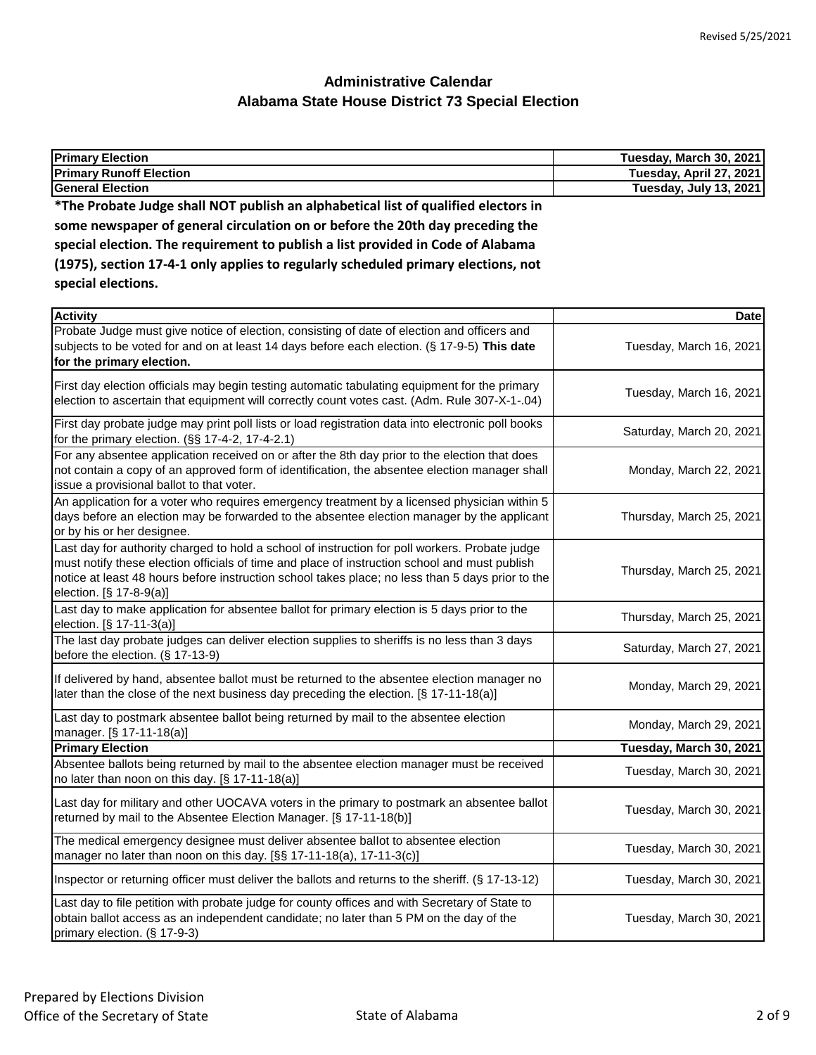| <b>Primary Election</b>                                                            | <b>Tuesday, March 30, 2021</b> |
|------------------------------------------------------------------------------------|--------------------------------|
| <b>Primary Runoff Election</b>                                                     | Tuesday, April 27, 2021        |
| <b>General Election</b>                                                            | Tuesday, July 13, 2021         |
| *The Probate Judge shall NOT publish an alphabetical list of qualified electors in |                                |
| some newspaper of general circulation on or before the 20th day preceding the      |                                |
| special election. The requirement to publish a list provided in Code of Alabama    |                                |
| (1975), section 17-4-1 only applies to regularly scheduled primary elections, not  |                                |
| special elections.                                                                 |                                |
| <b>Activity</b>                                                                    | <b>Date</b>                    |

| <b>Activity</b>                                                                                                                                                                                                                                                                                                                | Date                     |
|--------------------------------------------------------------------------------------------------------------------------------------------------------------------------------------------------------------------------------------------------------------------------------------------------------------------------------|--------------------------|
| Probate Judge must give notice of election, consisting of date of election and officers and<br>subjects to be voted for and on at least 14 days before each election. (§ 17-9-5) This date<br>for the primary election.                                                                                                        | Tuesday, March 16, 2021  |
| First day election officials may begin testing automatic tabulating equipment for the primary<br>election to ascertain that equipment will correctly count votes cast. (Adm. Rule 307-X-1-.04)                                                                                                                                 | Tuesday, March 16, 2021  |
| First day probate judge may print poll lists or load registration data into electronic poll books<br>for the primary election. (§§ 17-4-2, 17-4-2.1)                                                                                                                                                                           | Saturday, March 20, 2021 |
| For any absentee application received on or after the 8th day prior to the election that does<br>not contain a copy of an approved form of identification, the absentee election manager shall<br>issue a provisional ballot to that voter.                                                                                    | Monday, March 22, 2021   |
| An application for a voter who requires emergency treatment by a licensed physician within 5<br>days before an election may be forwarded to the absentee election manager by the applicant<br>or by his or her designee.                                                                                                       | Thursday, March 25, 2021 |
| Last day for authority charged to hold a school of instruction for poll workers. Probate judge<br>must notify these election officials of time and place of instruction school and must publish<br>notice at least 48 hours before instruction school takes place; no less than 5 days prior to the<br>election. [§ 17-8-9(a)] | Thursday, March 25, 2021 |
| Last day to make application for absentee ballot for primary election is 5 days prior to the<br>election. [§ 17-11-3(a)]                                                                                                                                                                                                       | Thursday, March 25, 2021 |
| The last day probate judges can deliver election supplies to sheriffs is no less than 3 days<br>before the election. (§ 17-13-9)                                                                                                                                                                                               | Saturday, March 27, 2021 |
| If delivered by hand, absentee ballot must be returned to the absentee election manager no<br>later than the close of the next business day preceding the election. [§ 17-11-18(a)]                                                                                                                                            | Monday, March 29, 2021   |
| Last day to postmark absentee ballot being returned by mail to the absentee election<br>manager. [§ 17-11-18(a)]                                                                                                                                                                                                               | Monday, March 29, 2021   |
| <b>Primary Election</b>                                                                                                                                                                                                                                                                                                        | Tuesday, March 30, 2021  |
| Absentee ballots being returned by mail to the absentee election manager must be received<br>no later than noon on this day. $[§ 17-11-18(a)]$                                                                                                                                                                                 | Tuesday, March 30, 2021  |
| Last day for military and other UOCAVA voters in the primary to postmark an absentee ballot<br>returned by mail to the Absentee Election Manager. [§ 17-11-18(b)]                                                                                                                                                              | Tuesday, March 30, 2021  |
| The medical emergency designee must deliver absentee ballot to absentee election<br>manager no later than noon on this day. [§§ 17-11-18(a), 17-11-3(c)]                                                                                                                                                                       | Tuesday, March 30, 2021  |
| Inspector or returning officer must deliver the ballots and returns to the sheriff. (§ 17-13-12)                                                                                                                                                                                                                               | Tuesday, March 30, 2021  |
| Last day to file petition with probate judge for county offices and with Secretary of State to<br>obtain ballot access as an independent candidate; no later than 5 PM on the day of the<br>primary election. (§ 17-9-3)                                                                                                       | Tuesday, March 30, 2021  |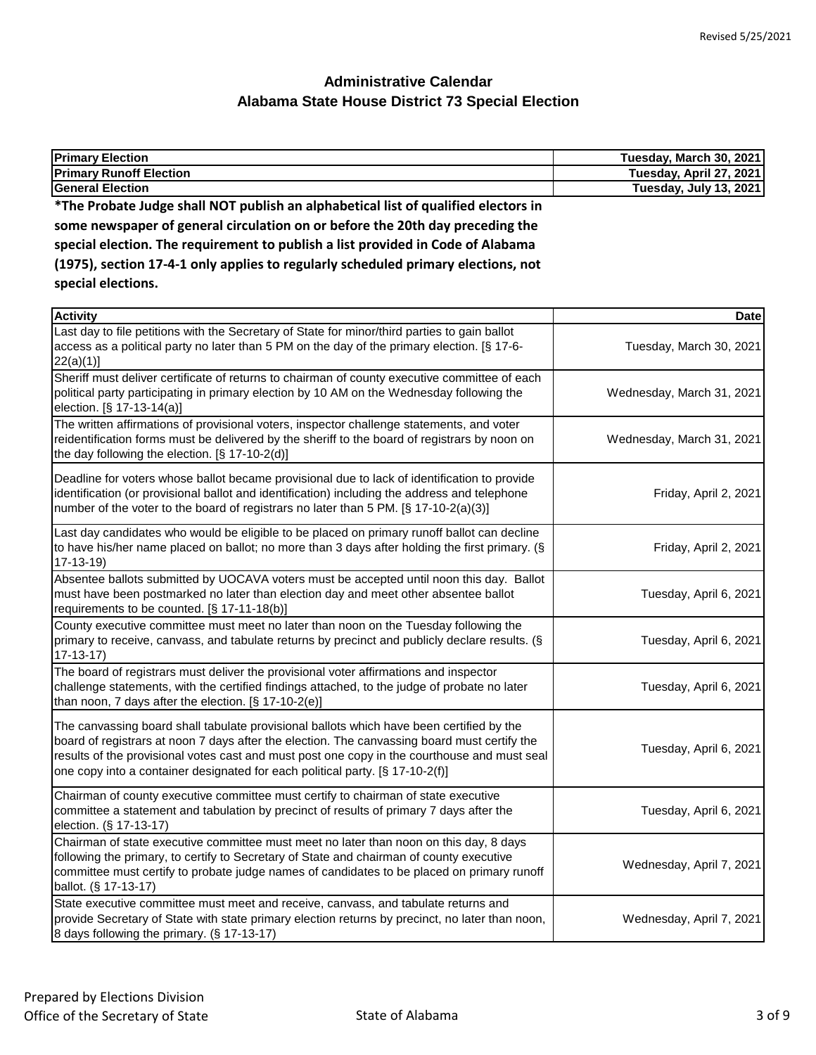| <b>Primary Election</b>                                                            | Tuesday, March 30, 2021 |
|------------------------------------------------------------------------------------|-------------------------|
| <b>Primary Runoff Election</b>                                                     | Tuesday, April 27, 2021 |
| <b>General Election</b>                                                            | Tuesday, July 13, 2021  |
| *The Probate Judge shall NOT publish an alphabetical list of qualified electors in |                         |
| some newspaper of general circulation on or before the 20th day preceding the      |                         |
| special election. The requirement to publish a list provided in Code of Alabama    |                         |
| (1975), section 17-4-1 only applies to regularly scheduled primary elections, not  |                         |
| special elections.                                                                 |                         |

| <b>Activity</b>                                                                                                                                                                                                                                                                                                                                                           | <b>Date</b>               |
|---------------------------------------------------------------------------------------------------------------------------------------------------------------------------------------------------------------------------------------------------------------------------------------------------------------------------------------------------------------------------|---------------------------|
| Last day to file petitions with the Secretary of State for minor/third parties to gain ballot<br>access as a political party no later than 5 PM on the day of the primary election. [§ 17-6-<br>22(a)(1)]                                                                                                                                                                 | Tuesday, March 30, 2021   |
| Sheriff must deliver certificate of returns to chairman of county executive committee of each<br>political party participating in primary election by 10 AM on the Wednesday following the<br>election. [§ 17-13-14(a)]                                                                                                                                                   | Wednesday, March 31, 2021 |
| The written affirmations of provisional voters, inspector challenge statements, and voter<br>reidentification forms must be delivered by the sheriff to the board of registrars by noon on<br>the day following the election. [§ 17-10-2(d)]                                                                                                                              | Wednesday, March 31, 2021 |
| Deadline for voters whose ballot became provisional due to lack of identification to provide<br>identification (or provisional ballot and identification) including the address and telephone<br>number of the voter to the board of registrars no later than 5 PM. [§ 17-10-2(a)(3)]                                                                                     | Friday, April 2, 2021     |
| Last day candidates who would be eligible to be placed on primary runoff ballot can decline<br>to have his/her name placed on ballot; no more than 3 days after holding the first primary. (§<br>$17-13-19$                                                                                                                                                               | Friday, April 2, 2021     |
| Absentee ballots submitted by UOCAVA voters must be accepted until noon this day. Ballot<br>must have been postmarked no later than election day and meet other absentee ballot<br>requirements to be counted. [§ 17-11-18(b)]                                                                                                                                            | Tuesday, April 6, 2021    |
| County executive committee must meet no later than noon on the Tuesday following the<br>primary to receive, canvass, and tabulate returns by precinct and publicly declare results. (§<br>$17 - 13 - 17$                                                                                                                                                                  | Tuesday, April 6, 2021    |
| The board of registrars must deliver the provisional voter affirmations and inspector<br>challenge statements, with the certified findings attached, to the judge of probate no later<br>than noon, 7 days after the election. [§ 17-10-2(e)]                                                                                                                             | Tuesday, April 6, 2021    |
| The canvassing board shall tabulate provisional ballots which have been certified by the<br>board of registrars at noon 7 days after the election. The canvassing board must certify the<br>results of the provisional votes cast and must post one copy in the courthouse and must seal<br>one copy into a container designated for each political party. [§ 17-10-2(f)] | Tuesday, April 6, 2021    |
| Chairman of county executive committee must certify to chairman of state executive<br>committee a statement and tabulation by precinct of results of primary 7 days after the<br>election. (§ 17-13-17)                                                                                                                                                                   | Tuesday, April 6, 2021    |
| Chairman of state executive committee must meet no later than noon on this day, 8 days<br>following the primary, to certify to Secretary of State and chairman of county executive<br>committee must certify to probate judge names of candidates to be placed on primary runoff<br>ballot. (§ 17-13-17)                                                                  | Wednesday, April 7, 2021  |
| State executive committee must meet and receive, canvass, and tabulate returns and<br>provide Secretary of State with state primary election returns by precinct, no later than noon,<br>8 days following the primary. (§ 17-13-17)                                                                                                                                       | Wednesday, April 7, 2021  |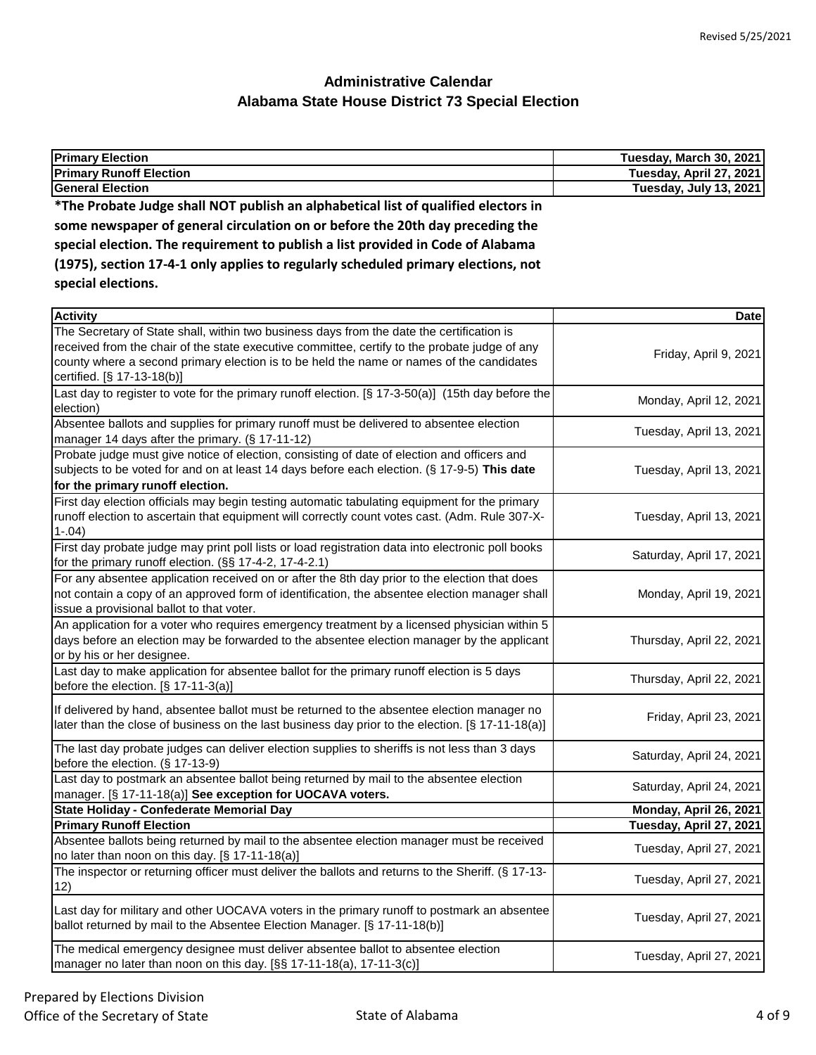| <b>Primary Election</b>                                                            | Tuesday, March 30, 2021 |
|------------------------------------------------------------------------------------|-------------------------|
| <b>Primary Runoff Election</b>                                                     | Tuesday, April 27, 2021 |
| <b>General Election</b>                                                            | Tuesday, July 13, 2021  |
| *The Probate Judge shall NOT publish an alphabetical list of qualified electors in |                         |
| some newspaper of general circulation on or before the 20th day preceding the      |                         |
| special election. The requirement to publish a list provided in Code of Alabama    |                         |
| (1975), section 17-4-1 only applies to regularly scheduled primary elections, not  |                         |
| special elections.                                                                 |                         |
|                                                                                    |                         |

| <b>Activity</b>                                                                                   | <b>Date</b>              |
|---------------------------------------------------------------------------------------------------|--------------------------|
| The Secretary of State shall, within two business days from the date the certification is         |                          |
| received from the chair of the state executive committee, certify to the probate judge of any     |                          |
| county where a second primary election is to be held the name or names of the candidates          | Friday, April 9, 2021    |
| certified. [§ 17-13-18(b)]                                                                        |                          |
| Last day to register to vote for the primary runoff election. [§ 17-3-50(a)] (15th day before the | Monday, April 12, 2021   |
| election)                                                                                         |                          |
| Absentee ballots and supplies for primary runoff must be delivered to absentee election           | Tuesday, April 13, 2021  |
| manager 14 days after the primary. (§ 17-11-12)                                                   |                          |
| Probate judge must give notice of election, consisting of date of election and officers and       |                          |
| subjects to be voted for and on at least 14 days before each election. (§ 17-9-5) This date       | Tuesday, April 13, 2021  |
| for the primary runoff election.                                                                  |                          |
| First day election officials may begin testing automatic tabulating equipment for the primary     |                          |
| runoff election to ascertain that equipment will correctly count votes cast. (Adm. Rule 307-X-    | Tuesday, April 13, 2021  |
| $1-.04)$                                                                                          |                          |
| First day probate judge may print poll lists or load registration data into electronic poll books |                          |
| for the primary runoff election. (§§ 17-4-2, 17-4-2.1)                                            | Saturday, April 17, 2021 |
| For any absentee application received on or after the 8th day prior to the election that does     |                          |
| not contain a copy of an approved form of identification, the absentee election manager shall     | Monday, April 19, 2021   |
| issue a provisional ballot to that voter.                                                         |                          |
| An application for a voter who requires emergency treatment by a licensed physician within 5      |                          |
| days before an election may be forwarded to the absentee election manager by the applicant        | Thursday, April 22, 2021 |
| or by his or her designee.                                                                        |                          |
| Last day to make application for absentee ballot for the primary runoff election is 5 days        |                          |
| before the election. $[§ 17-11-3(a)]$                                                             | Thursday, April 22, 2021 |
| If delivered by hand, absentee ballot must be returned to the absentee election manager no        |                          |
| later than the close of business on the last business day prior to the election. [§ 17-11-18(a)]  | Friday, April 23, 2021   |
|                                                                                                   |                          |
| The last day probate judges can deliver election supplies to sheriffs is not less than 3 days     | Saturday, April 24, 2021 |
| before the election. (§ 17-13-9)                                                                  |                          |
| Last day to postmark an absentee ballot being returned by mail to the absentee election           | Saturday, April 24, 2021 |
| manager. [§ 17-11-18(a)] See exception for UOCAVA voters.                                         |                          |
| State Holiday - Confederate Memorial Day                                                          | Monday, April 26, 2021   |
| <b>Primary Runoff Election</b>                                                                    | Tuesday, April 27, 2021  |
| Absentee ballots being returned by mail to the absentee election manager must be received         | Tuesday, April 27, 2021  |
| no later than noon on this day. [§ 17-11-18(a)]                                                   |                          |
| The inspector or returning officer must deliver the ballots and returns to the Sheriff. (§ 17-13- | Tuesday, April 27, 2021  |
| 12)                                                                                               |                          |
| Last day for military and other UOCAVA voters in the primary runoff to postmark an absentee       |                          |
| ballot returned by mail to the Absentee Election Manager. [§ 17-11-18(b)]                         | Tuesday, April 27, 2021  |
|                                                                                                   |                          |
| The medical emergency designee must deliver absentee ballot to absentee election                  | Tuesday, April 27, 2021  |
| manager no later than noon on this day. [§§ 17-11-18(a), 17-11-3(c)]                              |                          |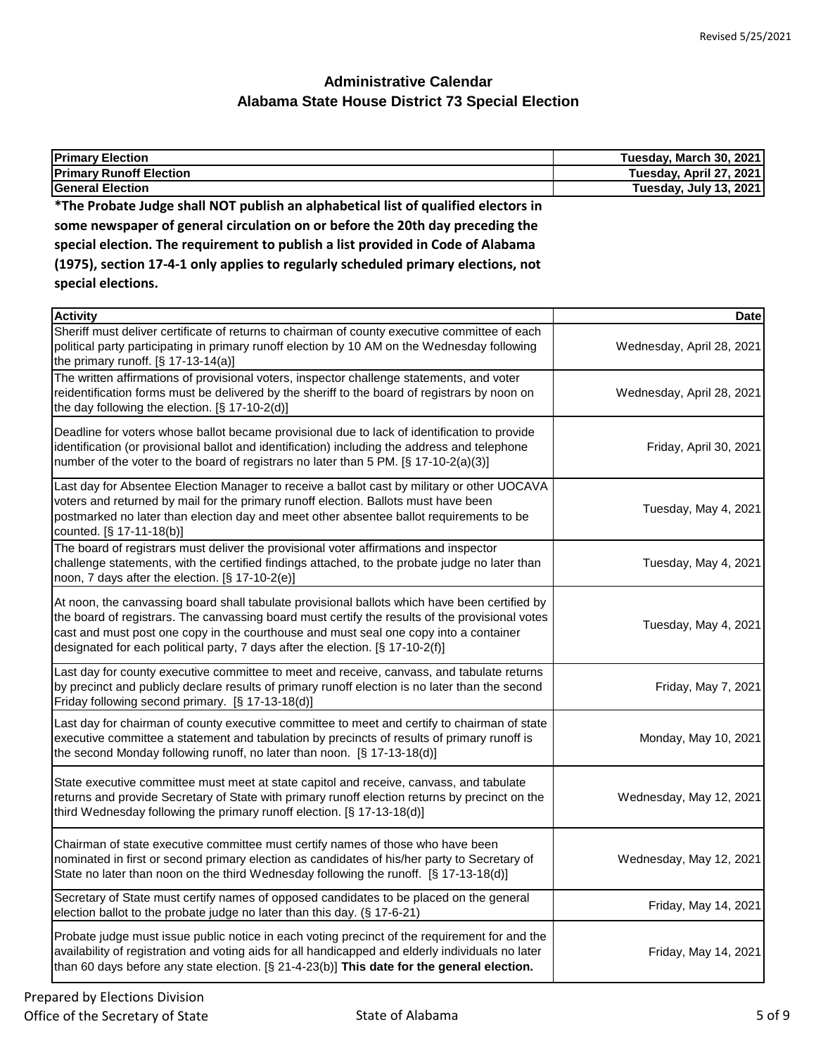| <b>Primary Election</b>                                                                                                                                                                                                                                                                                                                                                     | Tuesday, March 30, 2021       |
|-----------------------------------------------------------------------------------------------------------------------------------------------------------------------------------------------------------------------------------------------------------------------------------------------------------------------------------------------------------------------------|-------------------------------|
| <b>Primary Runoff Election</b>                                                                                                                                                                                                                                                                                                                                              | Tuesday, April 27, 2021       |
| <b>General Election</b>                                                                                                                                                                                                                                                                                                                                                     | <b>Tuesday, July 13, 2021</b> |
| *The Probate Judge shall NOT publish an alphabetical list of qualified electors in                                                                                                                                                                                                                                                                                          |                               |
| some newspaper of general circulation on or before the 20th day preceding the                                                                                                                                                                                                                                                                                               |                               |
| special election. The requirement to publish a list provided in Code of Alabama                                                                                                                                                                                                                                                                                             |                               |
| (1975), section 17-4-1 only applies to regularly scheduled primary elections, not                                                                                                                                                                                                                                                                                           |                               |
| special elections.                                                                                                                                                                                                                                                                                                                                                          |                               |
| <b>Activity</b>                                                                                                                                                                                                                                                                                                                                                             | <b>Date</b>                   |
| Sheriff must deliver certificate of returns to chairman of county executive committee of each                                                                                                                                                                                                                                                                               |                               |
| political party participating in primary runoff election by 10 AM on the Wednesday following<br>the primary runoff. $[§ 17-13-14(a)]$                                                                                                                                                                                                                                       | Wednesday, April 28, 2021     |
| The written affirmations of provisional voters, inspector challenge statements, and voter<br>reidentification forms must be delivered by the sheriff to the board of registrars by noon on<br>the day following the election. [§ 17-10-2(d)]                                                                                                                                | Wednesday, April 28, 2021     |
| Deadline for voters whose ballot became provisional due to lack of identification to provide<br>identification (or provisional ballot and identification) including the address and telephone<br>number of the voter to the board of registrars no later than 5 PM. [§ 17-10-2(a)(3)]                                                                                       | Friday, April 30, 2021        |
| Last day for Absentee Election Manager to receive a ballot cast by military or other UOCAVA<br>voters and returned by mail for the primary runoff election. Ballots must have been<br>postmarked no later than election day and meet other absentee ballot requirements to be<br>counted. [§ 17-11-18(b)]                                                                   | Tuesday, May 4, 2021          |
| The board of registrars must deliver the provisional voter affirmations and inspector<br>challenge statements, with the certified findings attached, to the probate judge no later than<br>noon, 7 days after the election. [§ 17-10-2(e)]                                                                                                                                  | Tuesday, May 4, 2021          |
| At noon, the canvassing board shall tabulate provisional ballots which have been certified by<br>the board of registrars. The canvassing board must certify the results of the provisional votes<br>cast and must post one copy in the courthouse and must seal one copy into a container<br>designated for each political party, 7 days after the election. [§ 17-10-2(f)] | Tuesday, May 4, 2021          |
| Last day for county executive committee to meet and receive, canvass, and tabulate returns<br>by precinct and publicly declare results of primary runoff election is no later than the second<br>Friday following second primary. [§ 17-13-18(d)]                                                                                                                           | Friday, May 7, 2021           |
| Last day for chairman of county executive committee to meet and certify to chairman of state<br>executive committee a statement and tabulation by precincts of results of primary runoff is<br>the second Monday following runoff, no later than noon. [§ 17-13-18(d)]                                                                                                      | Monday, May 10, 2021          |
| State executive committee must meet at state capitol and receive, canvass, and tabulate<br>returns and provide Secretary of State with primary runoff election returns by precinct on the<br>third Wednesday following the primary runoff election. [§ 17-13-18(d)]                                                                                                         | Wednesday, May 12, 2021       |
| Chairman of state executive committee must certify names of those who have been<br>nominated in first or second primary election as candidates of his/her party to Secretary of<br>State no later than noon on the third Wednesday following the runoff. [§ 17-13-18(d)]                                                                                                    | Wednesday, May 12, 2021       |
| Secretary of State must certify names of opposed candidates to be placed on the general<br>election ballot to the probate judge no later than this day. (§ 17-6-21)                                                                                                                                                                                                         | Friday, May 14, 2021          |
| Probate judge must issue public notice in each voting precinct of the requirement for and the<br>availability of registration and voting aids for all handicapped and elderly individuals no later<br>than 60 days before any state election. [§ 21-4-23(b)] This date for the general election.                                                                            | Friday, May 14, 2021          |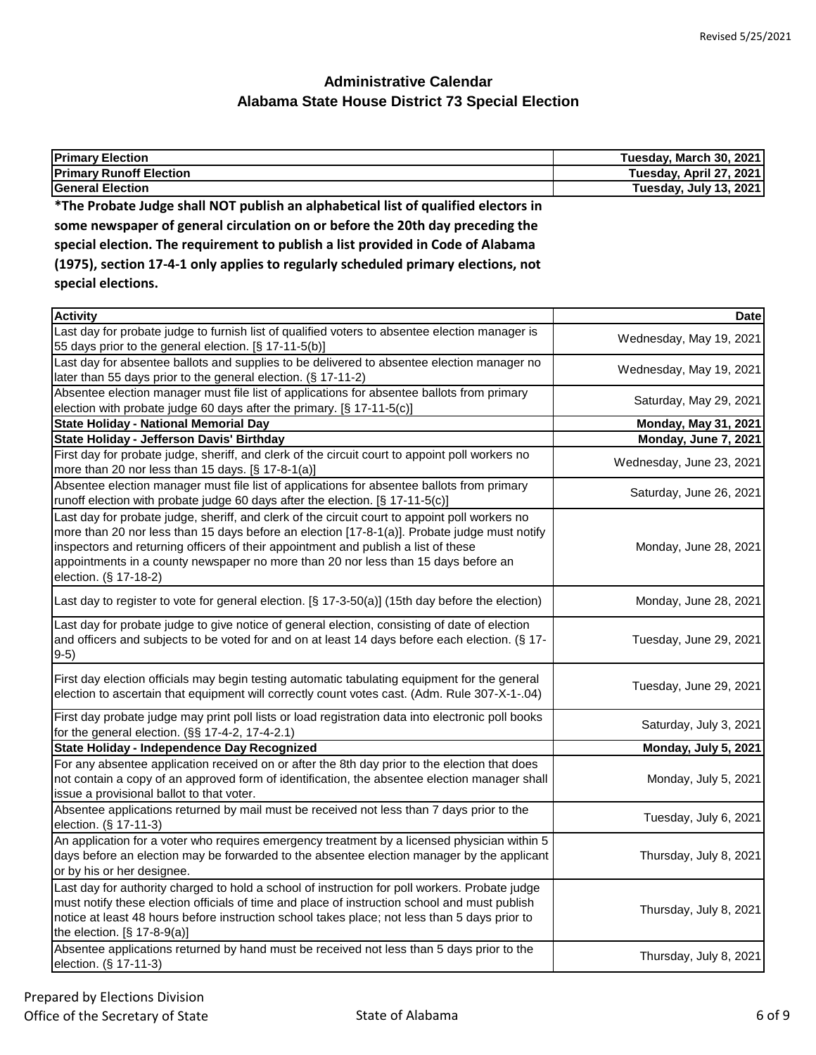| <b>Primary Election</b>                                                            | Tuesday, March 30, 2021 |
|------------------------------------------------------------------------------------|-------------------------|
| <b>Primary Runoff Election</b>                                                     | Tuesday, April 27, 2021 |
| <b>General Election</b>                                                            | Tuesday, July 13, 2021  |
| *The Probate Judge shall NOT publish an alphabetical list of qualified electors in |                         |
| some newspaper of general circulation on or before the 20th day preceding the      |                         |
| special election. The requirement to publish a list provided in Code of Alabama    |                         |
| (1975), section 17-4-1 only applies to regularly scheduled primary elections, not  |                         |

**special elections.**

| <b>Activity</b>                                                                                                                                                                                                                                                                                                                                                                                     | <b>Date</b>                 |
|-----------------------------------------------------------------------------------------------------------------------------------------------------------------------------------------------------------------------------------------------------------------------------------------------------------------------------------------------------------------------------------------------------|-----------------------------|
| Last day for probate judge to furnish list of qualified voters to absentee election manager is<br>55 days prior to the general election. [§ 17-11-5(b)]                                                                                                                                                                                                                                             | Wednesday, May 19, 2021     |
| Last day for absentee ballots and supplies to be delivered to absentee election manager no<br>later than 55 days prior to the general election. (§ 17-11-2)                                                                                                                                                                                                                                         | Wednesday, May 19, 2021     |
| Absentee election manager must file list of applications for absentee ballots from primary<br>election with probate judge 60 days after the primary. [§ 17-11-5(c)]                                                                                                                                                                                                                                 | Saturday, May 29, 2021      |
| <b>State Holiday - National Memorial Day</b>                                                                                                                                                                                                                                                                                                                                                        | <b>Monday, May 31, 2021</b> |
| State Holiday - Jefferson Davis' Birthday                                                                                                                                                                                                                                                                                                                                                           | Monday, June 7, 2021        |
| First day for probate judge, sheriff, and clerk of the circuit court to appoint poll workers no<br>more than 20 nor less than 15 days. [§ 17-8-1(a)]                                                                                                                                                                                                                                                | Wednesday, June 23, 2021    |
| Absentee election manager must file list of applications for absentee ballots from primary<br>runoff election with probate judge 60 days after the election. [§ 17-11-5(c)]                                                                                                                                                                                                                         | Saturday, June 26, 2021     |
| Last day for probate judge, sheriff, and clerk of the circuit court to appoint poll workers no<br>more than 20 nor less than 15 days before an election [17-8-1(a)]. Probate judge must notify<br>inspectors and returning officers of their appointment and publish a list of these<br>appointments in a county newspaper no more than 20 nor less than 15 days before an<br>election. (§ 17-18-2) | Monday, June 28, 2021       |
| Last day to register to vote for general election. [§ 17-3-50(a)] (15th day before the election)                                                                                                                                                                                                                                                                                                    | Monday, June 28, 2021       |
| Last day for probate judge to give notice of general election, consisting of date of election<br>and officers and subjects to be voted for and on at least 14 days before each election. (§ 17-<br>$9-5)$                                                                                                                                                                                           | Tuesday, June 29, 2021      |
| First day election officials may begin testing automatic tabulating equipment for the general<br>election to ascertain that equipment will correctly count votes cast. (Adm. Rule 307-X-1-.04)                                                                                                                                                                                                      | Tuesday, June 29, 2021      |
| First day probate judge may print poll lists or load registration data into electronic poll books<br>for the general election. (§§ 17-4-2, 17-4-2.1)                                                                                                                                                                                                                                                | Saturday, July 3, 2021      |
| State Holiday - Independence Day Recognized                                                                                                                                                                                                                                                                                                                                                         | Monday, July 5, 2021        |
| For any absentee application received on or after the 8th day prior to the election that does<br>not contain a copy of an approved form of identification, the absentee election manager shall<br>issue a provisional ballot to that voter.                                                                                                                                                         | Monday, July 5, 2021        |
| Absentee applications returned by mail must be received not less than 7 days prior to the<br>election. (§ 17-11-3)                                                                                                                                                                                                                                                                                  | Tuesday, July 6, 2021       |
| An application for a voter who requires emergency treatment by a licensed physician within 5<br>days before an election may be forwarded to the absentee election manager by the applicant<br>or by his or her designee.                                                                                                                                                                            | Thursday, July 8, 2021      |
| Last day for authority charged to hold a school of instruction for poll workers. Probate judge<br>must notify these election officials of time and place of instruction school and must publish<br>notice at least 48 hours before instruction school takes place; not less than 5 days prior to<br>the election. $[§ 17-8-9(a)]$                                                                   | Thursday, July 8, 2021      |
| Absentee applications returned by hand must be received not less than 5 days prior to the<br>election. (§ 17-11-3)                                                                                                                                                                                                                                                                                  | Thursday, July 8, 2021      |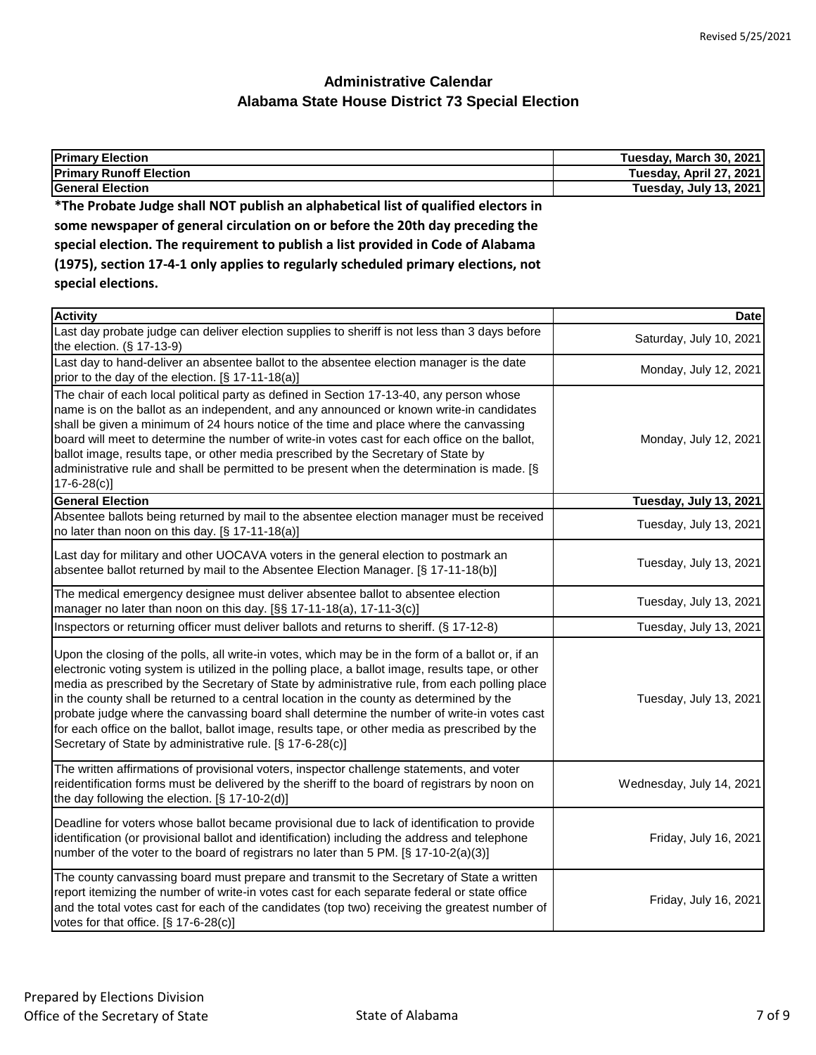| <b>Primary Election</b>                                                            | Tuesday, March 30, 2021 |
|------------------------------------------------------------------------------------|-------------------------|
| <b>Primary Runoff Election</b>                                                     | Tuesday, April 27, 2021 |
| <b>General Election</b>                                                            | Tuesday, July 13, 2021  |
| *The Probate Judge shall NOT publish an alphabetical list of qualified electors in |                         |
| some newspaper of general circulation on or before the 20th day preceding the      |                         |
| special election. The requirement to publish a list provided in Code of Alabama    |                         |
| (1975), section 17-4-1 only applies to regularly scheduled primary elections, not  |                         |

**special elections.**

| <b>Activity</b>                                                                                                                                                                                                                                                                                                                                                                                                                                                                                                                                                                                                                                                  | <b>Date</b>              |
|------------------------------------------------------------------------------------------------------------------------------------------------------------------------------------------------------------------------------------------------------------------------------------------------------------------------------------------------------------------------------------------------------------------------------------------------------------------------------------------------------------------------------------------------------------------------------------------------------------------------------------------------------------------|--------------------------|
| Last day probate judge can deliver election supplies to sheriff is not less than 3 days before<br>the election. (§ 17-13-9)                                                                                                                                                                                                                                                                                                                                                                                                                                                                                                                                      | Saturday, July 10, 2021  |
| Last day to hand-deliver an absentee ballot to the absentee election manager is the date<br>prior to the day of the election. [§ 17-11-18(a)]                                                                                                                                                                                                                                                                                                                                                                                                                                                                                                                    | Monday, July 12, 2021    |
| The chair of each local political party as defined in Section 17-13-40, any person whose<br>name is on the ballot as an independent, and any announced or known write-in candidates<br>shall be given a minimum of 24 hours notice of the time and place where the canvassing<br>board will meet to determine the number of write-in votes cast for each office on the ballot,<br>ballot image, results tape, or other media prescribed by the Secretary of State by<br>administrative rule and shall be permitted to be present when the determination is made. [§<br>$17 - 6 - 28(c)$                                                                          | Monday, July 12, 2021    |
| <b>General Election</b>                                                                                                                                                                                                                                                                                                                                                                                                                                                                                                                                                                                                                                          | Tuesday, July 13, 2021   |
| Absentee ballots being returned by mail to the absentee election manager must be received<br>no later than noon on this day. [§ 17-11-18(a)]                                                                                                                                                                                                                                                                                                                                                                                                                                                                                                                     | Tuesday, July 13, 2021   |
| Last day for military and other UOCAVA voters in the general election to postmark an<br>absentee ballot returned by mail to the Absentee Election Manager. [§ 17-11-18(b)]                                                                                                                                                                                                                                                                                                                                                                                                                                                                                       | Tuesday, July 13, 2021   |
| The medical emergency designee must deliver absentee ballot to absentee election<br>manager no later than noon on this day. [§§ 17-11-18(a), 17-11-3(c)]                                                                                                                                                                                                                                                                                                                                                                                                                                                                                                         | Tuesday, July 13, 2021   |
| Inspectors or returning officer must deliver ballots and returns to sheriff. (§ 17-12-8)                                                                                                                                                                                                                                                                                                                                                                                                                                                                                                                                                                         | Tuesday, July 13, 2021   |
| Upon the closing of the polls, all write-in votes, which may be in the form of a ballot or, if an<br>electronic voting system is utilized in the polling place, a ballot image, results tape, or other<br>media as prescribed by the Secretary of State by administrative rule, from each polling place<br>in the county shall be returned to a central location in the county as determined by the<br>probate judge where the canvassing board shall determine the number of write-in votes cast<br>for each office on the ballot, ballot image, results tape, or other media as prescribed by the<br>Secretary of State by administrative rule. [§ 17-6-28(c)] | Tuesday, July 13, 2021   |
| The written affirmations of provisional voters, inspector challenge statements, and voter<br>reidentification forms must be delivered by the sheriff to the board of registrars by noon on<br>the day following the election. [§ 17-10-2(d)]                                                                                                                                                                                                                                                                                                                                                                                                                     | Wednesday, July 14, 2021 |
| Deadline for voters whose ballot became provisional due to lack of identification to provide<br>identification (or provisional ballot and identification) including the address and telephone<br>number of the voter to the board of registrars no later than 5 PM. [§ 17-10-2(a)(3)]                                                                                                                                                                                                                                                                                                                                                                            | Friday, July 16, 2021    |
| The county canvassing board must prepare and transmit to the Secretary of State a written<br>report itemizing the number of write-in votes cast for each separate federal or state office<br>and the total votes cast for each of the candidates (top two) receiving the greatest number of<br>votes for that office. [§ 17-6-28(c)]                                                                                                                                                                                                                                                                                                                             | Friday, July 16, 2021    |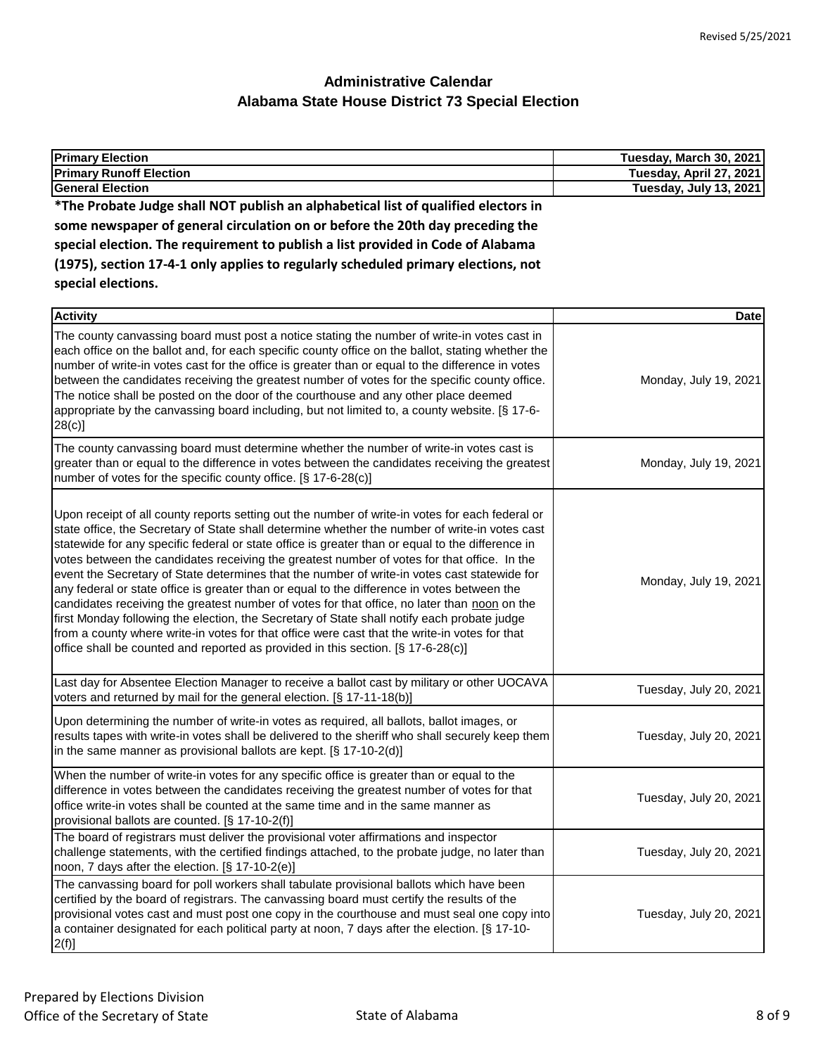| <b>Primary Election</b>                                                                                                                                                                                                                                                                                                                                                                                                                                                                                                                                                                                                                                                                                                                                                                                                                                                                                                                                                                 | Tuesday, March 30, 2021 |
|-----------------------------------------------------------------------------------------------------------------------------------------------------------------------------------------------------------------------------------------------------------------------------------------------------------------------------------------------------------------------------------------------------------------------------------------------------------------------------------------------------------------------------------------------------------------------------------------------------------------------------------------------------------------------------------------------------------------------------------------------------------------------------------------------------------------------------------------------------------------------------------------------------------------------------------------------------------------------------------------|-------------------------|
| <b>Primary Runoff Election</b>                                                                                                                                                                                                                                                                                                                                                                                                                                                                                                                                                                                                                                                                                                                                                                                                                                                                                                                                                          | Tuesday, April 27, 2021 |
| <b>General Election</b>                                                                                                                                                                                                                                                                                                                                                                                                                                                                                                                                                                                                                                                                                                                                                                                                                                                                                                                                                                 | Tuesday, July 13, 2021  |
| *The Probate Judge shall NOT publish an alphabetical list of qualified electors in                                                                                                                                                                                                                                                                                                                                                                                                                                                                                                                                                                                                                                                                                                                                                                                                                                                                                                      |                         |
| some newspaper of general circulation on or before the 20th day preceding the                                                                                                                                                                                                                                                                                                                                                                                                                                                                                                                                                                                                                                                                                                                                                                                                                                                                                                           |                         |
| special election. The requirement to publish a list provided in Code of Alabama                                                                                                                                                                                                                                                                                                                                                                                                                                                                                                                                                                                                                                                                                                                                                                                                                                                                                                         |                         |
| (1975), section 17-4-1 only applies to regularly scheduled primary elections, not                                                                                                                                                                                                                                                                                                                                                                                                                                                                                                                                                                                                                                                                                                                                                                                                                                                                                                       |                         |
| special elections.                                                                                                                                                                                                                                                                                                                                                                                                                                                                                                                                                                                                                                                                                                                                                                                                                                                                                                                                                                      |                         |
|                                                                                                                                                                                                                                                                                                                                                                                                                                                                                                                                                                                                                                                                                                                                                                                                                                                                                                                                                                                         |                         |
| <b>Activity</b>                                                                                                                                                                                                                                                                                                                                                                                                                                                                                                                                                                                                                                                                                                                                                                                                                                                                                                                                                                         | <b>Date</b>             |
| The county canvassing board must post a notice stating the number of write-in votes cast in<br>each office on the ballot and, for each specific county office on the ballot, stating whether the<br>number of write-in votes cast for the office is greater than or equal to the difference in votes<br>between the candidates receiving the greatest number of votes for the specific county office.<br>The notice shall be posted on the door of the courthouse and any other place deemed<br>appropriate by the canvassing board including, but not limited to, a county website. [§ 17-6-<br>$28(c)$ ]                                                                                                                                                                                                                                                                                                                                                                              | Monday, July 19, 2021   |
| The county canvassing board must determine whether the number of write-in votes cast is<br>greater than or equal to the difference in votes between the candidates receiving the greatest<br>number of votes for the specific county office. [§ 17-6-28(c)]                                                                                                                                                                                                                                                                                                                                                                                                                                                                                                                                                                                                                                                                                                                             | Monday, July 19, 2021   |
| Upon receipt of all county reports setting out the number of write-in votes for each federal or<br>state office, the Secretary of State shall determine whether the number of write-in votes cast<br>statewide for any specific federal or state office is greater than or equal to the difference in<br>votes between the candidates receiving the greatest number of votes for that office. In the<br>event the Secretary of State determines that the number of write-in votes cast statewide for<br>any federal or state office is greater than or equal to the difference in votes between the<br>candidates receiving the greatest number of votes for that office, no later than noon on the<br>first Monday following the election, the Secretary of State shall notify each probate judge<br>from a county where write-in votes for that office were cast that the write-in votes for that<br>office shall be counted and reported as provided in this section. [§ 17-6-28(c)] | Monday, July 19, 2021   |
| Last day for Absentee Election Manager to receive a ballot cast by military or other UOCAVA<br>voters and returned by mail for the general election. [§ 17-11-18(b)]                                                                                                                                                                                                                                                                                                                                                                                                                                                                                                                                                                                                                                                                                                                                                                                                                    | Tuesday, July 20, 2021  |
| Upon determining the number of write-in votes as required, all ballots, ballot images, or<br>results tapes with write-in votes shall be delivered to the sheriff who shall securely keep them<br>in the same manner as provisional ballots are kept. $[\S 17-10-2(d)]$                                                                                                                                                                                                                                                                                                                                                                                                                                                                                                                                                                                                                                                                                                                  | Tuesday, July 20, 2021  |
| When the number of write-in votes for any specific office is greater than or equal to the<br>difference in votes between the candidates receiving the greatest number of votes for that<br>office write-in votes shall be counted at the same time and in the same manner as<br>provisional ballots are counted. [§ 17-10-2(f)]                                                                                                                                                                                                                                                                                                                                                                                                                                                                                                                                                                                                                                                         | Tuesday, July 20, 2021  |
| The board of registrars must deliver the provisional voter affirmations and inspector<br>challenge statements, with the certified findings attached, to the probate judge, no later than<br>noon, 7 days after the election. [§ 17-10-2(e)]                                                                                                                                                                                                                                                                                                                                                                                                                                                                                                                                                                                                                                                                                                                                             | Tuesday, July 20, 2021  |
| The canvassing board for poll workers shall tabulate provisional ballots which have been<br>certified by the board of registrars. The canvassing board must certify the results of the<br>provisional votes cast and must post one copy in the courthouse and must seal one copy into<br>a container designated for each political party at noon, 7 days after the election. [§ 17-10-<br>$2(f)$ ]                                                                                                                                                                                                                                                                                                                                                                                                                                                                                                                                                                                      | Tuesday, July 20, 2021  |